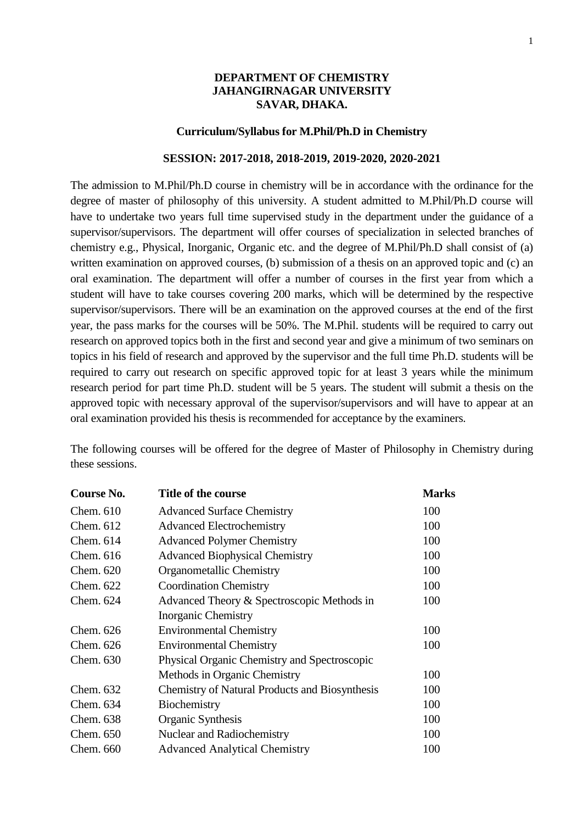### **DEPARTMENT OF CHEMISTRY JAHANGIRNAGAR UNIVERSITY SAVAR, DHAKA.**

#### **Curriculum/Syllabus for M.Phil/Ph.D in Chemistry**

#### **SESSION: 2017-2018, 2018-2019, 2019-2020, 2020-2021**

The admission to M.Phil/Ph.D course in chemistry will be in accordance with the ordinance for the degree of master of philosophy of this university. A student admitted to M.Phil/Ph.D course will have to undertake two years full time supervised study in the department under the guidance of a supervisor/supervisors. The department will offer courses of specialization in selected branches of chemistry e.g., Physical, Inorganic, Organic etc. and the degree of M.Phil/Ph.D shall consist of (a) written examination on approved courses, (b) submission of a thesis on an approved topic and (c) an oral examination. The department will offer a number of courses in the first year from which a student will have to take courses covering 200 marks, which will be determined by the respective supervisor/supervisors. There will be an examination on the approved courses at the end of the first year, the pass marks for the courses will be 50%. The M.Phil. students will be required to carry out research on approved topics both in the first and second year and give a minimum of two seminars on topics in his field of research and approved by the supervisor and the full time Ph.D. students will be required to carry out research on specific approved topic for at least 3 years while the minimum research period for part time Ph.D. student will be 5 years. The student will submit a thesis on the approved topic with necessary approval of the supervisor/supervisors and will have to appear at an oral examination provided his thesis is recommended for acceptance by the examiners.

The following courses will be offered for the degree of Master of Philosophy in Chemistry during these sessions.

| <b>Course No.</b> | Title of the course                                   | <b>Marks</b> |
|-------------------|-------------------------------------------------------|--------------|
| Chem. $610$       | <b>Advanced Surface Chemistry</b>                     | 100          |
| Chem. $612$       | <b>Advanced Electrochemistry</b>                      | 100          |
| Chem. $614$       | <b>Advanced Polymer Chemistry</b>                     | 100          |
| Chem. $616$       | <b>Advanced Biophysical Chemistry</b>                 | 100          |
| Chem. 620         | Organometallic Chemistry                              | 100          |
| Chem. 622         | <b>Coordination Chemistry</b>                         | 100          |
| Chem. 624         | Advanced Theory & Spectroscopic Methods in            | 100          |
|                   | <b>Inorganic Chemistry</b>                            |              |
| Chem. $626$       | <b>Environmental Chemistry</b>                        | 100          |
| Chem. $626$       | <b>Environmental Chemistry</b>                        | 100          |
| Chem. 630         | Physical Organic Chemistry and Spectroscopic          |              |
|                   | Methods in Organic Chemistry                          | 100          |
| Chem. 632         | <b>Chemistry of Natural Products and Biosynthesis</b> | 100          |
| Chem. 634         | Biochemistry                                          | 100          |
| Chem. 638         | Organic Synthesis                                     | 100          |
| Chem. 650         | Nuclear and Radiochemistry                            | 100          |
| Chem. 660         | <b>Advanced Analytical Chemistry</b>                  | 100          |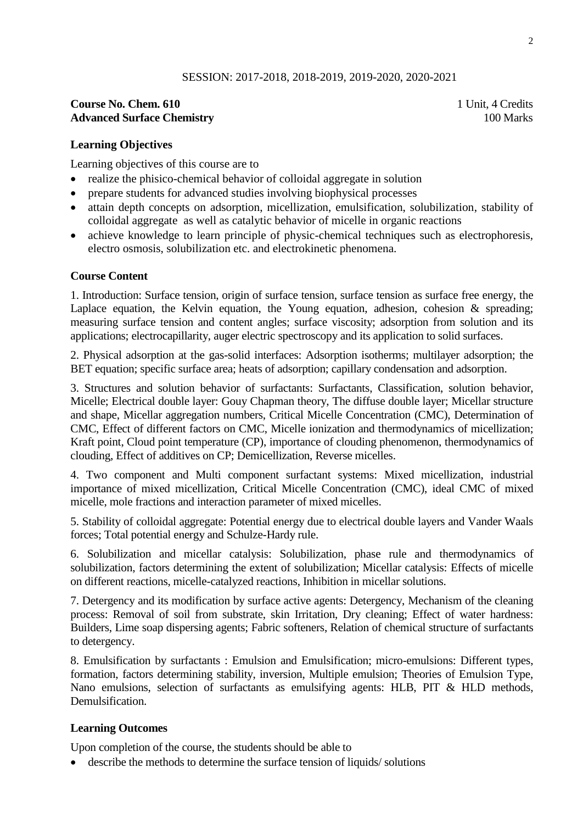## **Course No. Chem. 610** 1 Unit, 4 Credits **Advanced Surface Chemistry** 100 Marks 100 Marks 100 Marks 100 Marks 100 Marks 100 Marks 100 Marks 100 Marks 100 Marks 100 Marks 100 Marks 100 Marks 100 Marks 100 Marks 100 Marks 100 Marks 100 Marks 100 Marks 100 Marks 100

## **Learning Objectives**

Learning objectives of this course are to

- realize the phisico-chemical behavior of colloidal aggregate in solution
- prepare students for advanced studies involving biophysical processes
- attain depth concepts on adsorption, micellization, emulsification, solubilization, stability of colloidal aggregate as well as catalytic behavior of micelle in organic reactions
- achieve knowledge to learn principle of physic-chemical techniques such as electrophoresis, electro osmosis, solubilization etc. and electrokinetic phenomena.

### **Course Content**

1. Introduction: Surface tension, origin of surface tension, surface tension as surface free energy, the Laplace equation, the Kelvin equation, the Young equation, adhesion, cohesion  $\&$  spreading; measuring surface tension and content angles; surface viscosity; adsorption from solution and its applications; electrocapillarity, auger electric spectroscopy and its application to solid surfaces.

2. Physical adsorption at the gas-solid interfaces: Adsorption isotherms; multilayer adsorption; the BET equation; specific surface area; heats of adsorption; capillary condensation and adsorption.

3. Structures and solution behavior of surfactants: Surfactants, Classification, solution behavior, Micelle; Electrical double layer: Gouy Chapman theory, The diffuse double layer; Micellar structure and shape, Micellar aggregation numbers, Critical Micelle Concentration (CMC), Determination of CMC, Effect of different factors on CMC, Micelle ionization and thermodynamics of micellization; Kraft point, Cloud point temperature (CP), importance of clouding phenomenon, thermodynamics of clouding, Effect of additives on CP; Demicellization, Reverse micelles.

4. Two component and Multi component surfactant systems: Mixed micellization, industrial importance of mixed micellization, Critical Micelle Concentration (CMC), ideal CMC of mixed micelle, mole fractions and interaction parameter of mixed micelles.

5. Stability of colloidal aggregate: Potential energy due to electrical double layers and Vander Waals forces; Total potential energy and Schulze-Hardy rule.

6. Solubilization and micellar catalysis: Solubilization, phase rule and thermodynamics of solubilization, factors determining the extent of solubilization; Micellar catalysis: Effects of micelle on different reactions, micelle-catalyzed reactions, Inhibition in micellar solutions.

7. Detergency and its modification by surface active agents: Detergency, Mechanism of the cleaning process: Removal of soil from substrate, skin Irritation, Dry cleaning; Effect of water hardness: Builders, Lime soap dispersing agents; Fabric softeners, Relation of chemical structure of surfactants to detergency.

8. Emulsification by surfactants : Emulsion and Emulsification; micro-emulsions: Different types, formation, factors determining stability, inversion, Multiple emulsion; Theories of Emulsion Type, Nano emulsions, selection of surfactants as emulsifying agents: HLB, PIT & HLD methods, Demulsification.

### **Learning Outcomes**

Upon completion of the course, the students should be able to

describe the methods to determine the surface tension of liquids/ solutions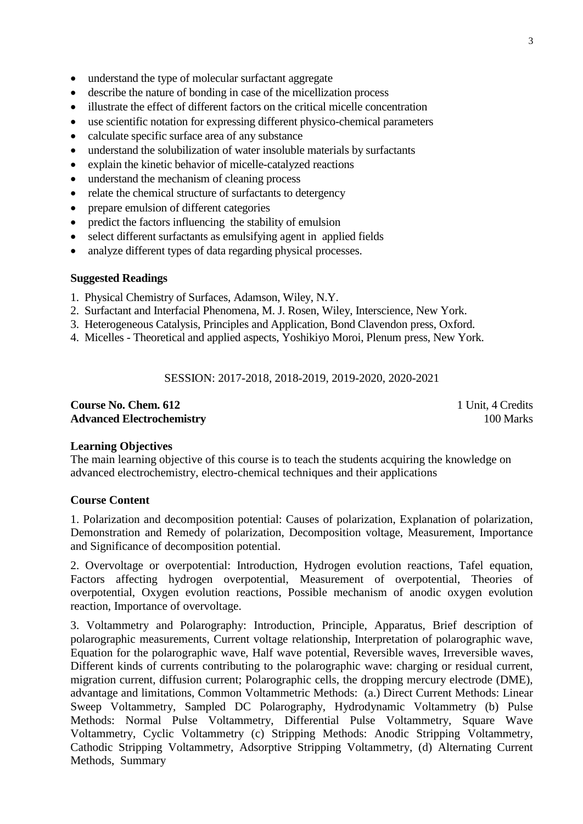- understand the type of molecular surfactant aggregate
- describe the nature of bonding in case of the micellization process
- illustrate the effect of different factors on the critical micelle concentration
- use scientific notation for expressing different physico-chemical parameters
- calculate specific surface area of any substance
- understand the solubilization of water insoluble materials by surfactants
- explain the kinetic behavior of micelle-catalyzed reactions
- understand the mechanism of cleaning process
- relate the chemical structure of surfactants to detergency
- prepare emulsion of different categories
- predict the factors influencing the stability of emulsion
- select different surfactants as emulsifying agent in applied fields
- analyze different types of data regarding physical processes.

- 1. Physical Chemistry of Surfaces, Adamson, Wiley, N.Y.
- 2. Surfactant and Interfacial Phenomena, M. J. Rosen, Wiley, Interscience, New York.
- 3. Heterogeneous Catalysis, Principles and Application, Bond Clavendon press, Oxford.
- 4. Micelles Theoretical and applied aspects, Yoshikiyo Moroi, Plenum press, New York.

SESSION: 2017-2018, 2018-2019, 2019-2020, 2020-2021

#### **Course No. Chem. 612** 1 Unit, 4 Credits **Advanced Electrochemistry** 100 Marks

#### **Learning Objectives**

The main learning objective of this course is to teach the students acquiring the knowledge on advanced electrochemistry, electro-chemical techniques and their applications

#### **Course Content**

1. Polarization and decomposition potential: Causes of polarization, Explanation of polarization, Demonstration and Remedy of polarization, Decomposition voltage, Measurement, Importance and Significance of decomposition potential.

2. Overvoltage or overpotential: Introduction, Hydrogen evolution reactions, Tafel equation, Factors affecting hydrogen overpotential, Measurement of overpotential, Theories of overpotential, Oxygen evolution reactions, Possible mechanism of anodic oxygen evolution reaction, Importance of overvoltage.

3. Voltammetry and Polarography: Introduction, Principle, Apparatus, Brief description of polarographic measurements, Current voltage relationship, Interpretation of polarographic wave, Equation for the polarographic wave, Half wave potential, Reversible waves, Irreversible waves, Different kinds of currents contributing to the polarographic wave: charging or residual current, migration current, diffusion current; Polarographic cells, the dropping mercury electrode (DME), advantage and limitations, Common Voltammetric Methods: (a.) Direct Current Methods: Linear Sweep Voltammetry, Sampled DC Polarography, Hydrodynamic Voltammetry (b) Pulse Methods: Normal Pulse Voltammetry, Differential Pulse Voltammetry, Square Wave Voltammetry, Cyclic Voltammetry (c) Stripping Methods: Anodic Stripping Voltammetry, Cathodic Stripping Voltammetry, Adsorptive Stripping Voltammetry, (d) Alternating Current Methods, Summary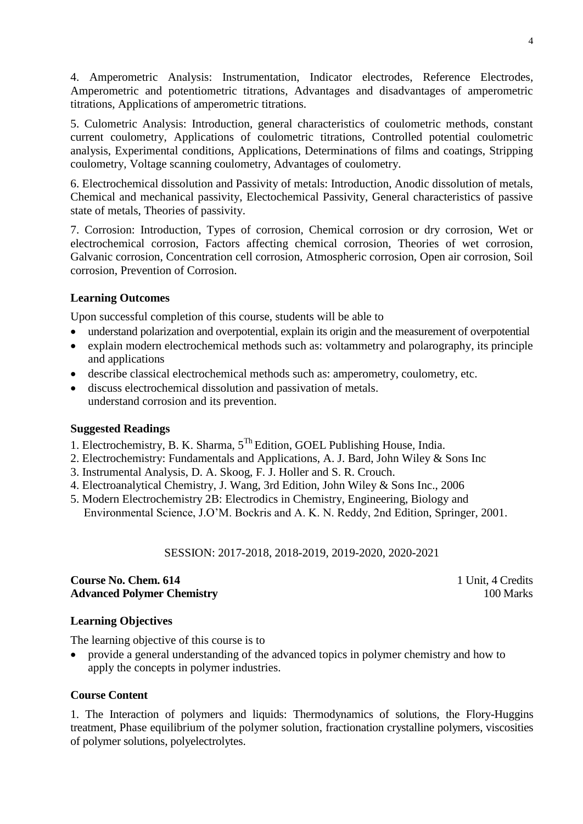4. Amperometric Analysis: Instrumentation, Indicator electrodes, Reference Electrodes, Amperometric and potentiometric titrations, Advantages and disadvantages of amperometric titrations, Applications of amperometric titrations.

5. Culometric Analysis: Introduction, general characteristics of coulometric methods, constant current coulometry, Applications of coulometric titrations, Controlled potential coulometric analysis, Experimental conditions, Applications, Determinations of films and coatings, Stripping coulometry, Voltage scanning coulometry, Advantages of coulometry.

6. Electrochemical dissolution and Passivity of metals: Introduction, Anodic dissolution of metals, Chemical and mechanical passivity, Electochemical Passivity, General characteristics of passive state of metals, Theories of passivity.

7. Corrosion: Introduction, Types of corrosion, Chemical corrosion or dry corrosion, Wet or electrochemical corrosion, Factors affecting chemical corrosion, Theories of wet corrosion, Galvanic corrosion, Concentration cell corrosion, Atmospheric corrosion, Open air corrosion, Soil corrosion, Prevention of Corrosion.

# **Learning Outcomes**

Upon successful completion of this course, students will be able to

- understand polarization and overpotential, explain its origin and the measurement of overpotential
- explain modern electrochemical methods such as: voltammetry and polarography, its principle and applications
- describe classical electrochemical methods such as: amperometry, coulometry, etc.
- discuss electrochemical dissolution and passivation of metals. understand corrosion and its prevention.

# **Suggested Readings**

- 1. Electrochemistry, B. K. Sharma, 5Th Edition, GOEL Publishing House, India.
- 2. Electrochemistry: Fundamentals and Applications, A. J. Bard, John Wiley & Sons Inc
- 3. Instrumental Analysis, D. A. Skoog, F. J. Holler and S. R. Crouch.
- 4. Electroanalytical Chemistry, J. Wang, 3rd Edition, John Wiley & Sons Inc., 2006
- 5. Modern Electrochemistry 2B: Electrodics in Chemistry, Engineering, Biology and Environmental Science, J.O'M. Bockris and A. K. N. Reddy, 2nd Edition, Springer, 2001.

SESSION: 2017-2018, 2018-2019, 2019-2020, 2020-2021

## **Course No. Chem. 614 Course No. Chem. 614 Course No. Chem. 614 Course No. 21 Unit, 4 Credits Advanced Polymer Chemistry** 100 Marks

# **Learning Objectives**

The learning objective of this course is to

 provide a general understanding of the advanced topics in polymer chemistry and how to apply the concepts in polymer industries.

# **Course Content**

1. The Interaction of polymers and liquids: Thermodynamics of solutions, the Flory-Huggins treatment, Phase equilibrium of the polymer solution, fractionation crystalline polymers, viscosities of polymer solutions, polyelectrolytes.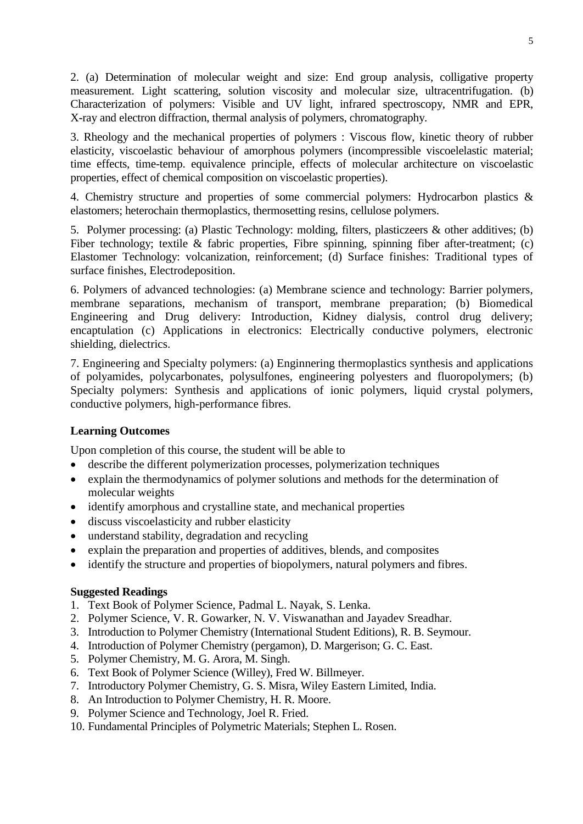2. (a) Determination of molecular weight and size: End group analysis, colligative property measurement. Light scattering, solution viscosity and molecular size, ultracentrifugation. (b) Characterization of polymers: Visible and UV light, infrared spectroscopy, NMR and EPR, X-ray and electron diffraction, thermal analysis of polymers, chromatography.

3. Rheology and the mechanical properties of polymers : Viscous flow, kinetic theory of rubber elasticity, viscoelastic behaviour of amorphous polymers (incompressible viscoelelastic material; time effects, time-temp. equivalence principle, effects of molecular architecture on viscoelastic properties, effect of chemical composition on viscoelastic properties).

4. Chemistry structure and properties of some commercial polymers: Hydrocarbon plastics & elastomers; heterochain thermoplastics, thermosetting resins, cellulose polymers.

5. Polymer processing: (a) Plastic Technology: molding, filters, plasticzeers & other additives; (b) Fiber technology; textile & fabric properties, Fibre spinning, spinning fiber after-treatment; (c) Elastomer Technology: volcanization, reinforcement; (d) Surface finishes: Traditional types of surface finishes, Electrodeposition.

6. Polymers of advanced technologies: (a) Membrane science and technology: Barrier polymers, membrane separations, mechanism of transport, membrane preparation; (b) Biomedical Engineering and Drug delivery: Introduction, Kidney dialysis, control drug delivery; encaptulation (c) Applications in electronics: Electrically conductive polymers, electronic shielding, dielectrics.

7. Engineering and Specialty polymers: (a) Enginnering thermoplastics synthesis and applications of polyamides, polycarbonates, polysulfones, engineering polyesters and fluoropolymers; (b) Specialty polymers: Synthesis and applications of ionic polymers, liquid crystal polymers, conductive polymers, high-performance fibres.

# **Learning Outcomes**

Upon completion of this course, the student will be able to

- describe the different polymerization processes, polymerization techniques
- explain the thermodynamics of polymer solutions and methods for the determination of molecular weights
- identify amorphous and crystalline state, and mechanical properties
- discuss viscoelasticity and rubber elasticity
- understand stability, degradation and recycling
- explain the preparation and properties of additives, blends, and composites
- identify the structure and properties of biopolymers, natural polymers and fibres.

- 1. Text Book of Polymer Science, Padmal L. Nayak, S. Lenka.
- 2. Polymer Science, V. R. Gowarker, N. V. Viswanathan and Jayadev Sreadhar.
- 3. Introduction to Polymer Chemistry (International Student Editions), R. B. Seymour.
- 4. Introduction of Polymer Chemistry (pergamon), D. Margerison; G. C. East.
- 5. Polymer Chemistry, M. G. Arora, M. Singh.
- 6. Text Book of Polymer Science (Willey), Fred W. Billmeyer.
- 7. Introductory Polymer Chemistry, G. S. Misra, Wiley Eastern Limited, India.
- 8. An Introduction to Polymer Chemistry, H. R. Moore.
- 9. Polymer Science and Technology, Joel R. Fried.
- 10. Fundamental Principles of Polymetric Materials; Stephen L. Rosen.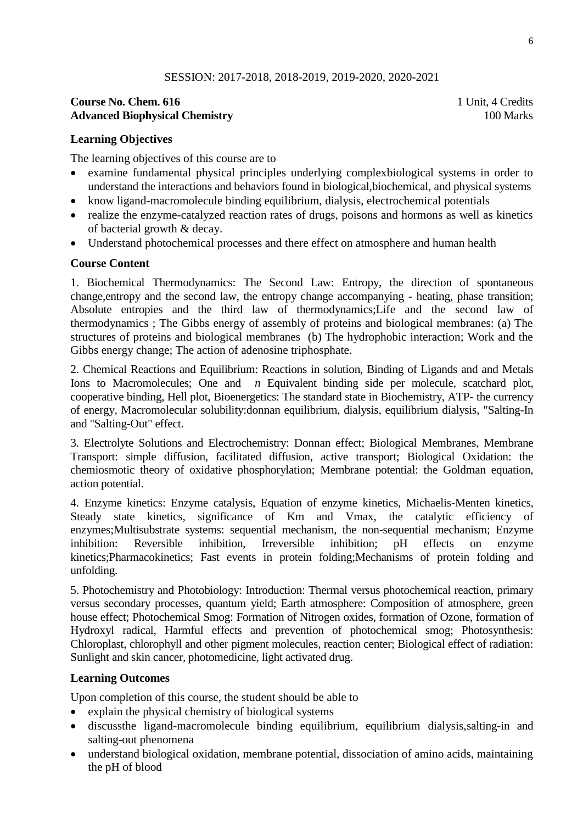## **Course No. Chem. 616** 1 Unit, 4 Credits **Advanced Biophysical Chemistry** 100 Marks 100 Marks

### **Learning Objectives**

The learning objectives of this course are to

- examine fundamental physical principles underlying complexbiological systems in order to understand the interactions and behaviors found in biological,biochemical, and physical systems
- know ligand-macromolecule binding equilibrium, dialysis, electrochemical potentials
- realize the enzyme-catalyzed reaction rates of drugs, poisons and hormons as well as kinetics of bacterial growth & decay.
- Understand photochemical processes and there effect on atmosphere and human health

### **Course Content**

1. Biochemical Thermodynamics: The Second Law: Entropy, the direction of spontaneous change,entropy and the second law, the entropy change accompanying - heating, phase transition; Absolute entropies and the third law of thermodynamics;Life and the second law of thermodynamics ; The Gibbs energy of assembly of proteins and biological membranes: (a) The structures of proteins and biological membranes (b) The hydrophobic interaction; Work and the Gibbs energy change; The action of adenosine triphosphate.

2. Chemical Reactions and Equilibrium: Reactions in solution, Binding of Ligands and and Metals Ions to Macromolecules; One and *n* Equivalent binding side per molecule, scatchard plot, cooperative binding, Hell plot, Bioenergetics: The standard state in Biochemistry, ATP- the currency of energy, Macromolecular solubility:donnan equilibrium, dialysis, equilibrium dialysis, "Salting-In and "Salting-Out" effect.

3. Electrolyte Solutions and Electrochemistry: Donnan effect; Biological Membranes, Membrane Transport: simple diffusion, facilitated diffusion, active transport; Biological Oxidation: the chemiosmotic theory of oxidative phosphorylation; Membrane potential: the Goldman equation, action potential.

4. Enzyme kinetics: Enzyme catalysis, Equation of enzyme kinetics, Michaelis-Menten kinetics, Steady state kinetics, significance of Km and Vmax, the catalytic efficiency of enzymes;Multisubstrate systems: sequential mechanism, the non-sequential mechanism; Enzyme inhibition: Reversible inhibition, Irreversible inhibition; pH effects on enzyme kinetics;Pharmacokinetics; Fast events in protein folding;Mechanisms of protein folding and unfolding.

5. Photochemistry and Photobiology: Introduction: Thermal versus photochemical reaction, primary versus secondary processes, quantum yield; Earth atmosphere: Composition of atmosphere, green house effect; Photochemical Smog: Formation of Nitrogen oxides, formation of Ozone, formation of Hydroxyl radical, Harmful effects and prevention of photochemical smog; Photosynthesis: Chloroplast, chlorophyll and other pigment molecules, reaction center; Biological effect of radiation: Sunlight and skin cancer, photomedicine, light activated drug.

### **Learning Outcomes**

Upon completion of this course, the student should be able to

- explain the physical chemistry of biological systems
- discussthe ligand-macromolecule binding equilibrium, equilibrium dialysis,salting-in and salting-out phenomena
- understand biological oxidation, membrane potential, dissociation of amino acids, maintaining the pH of blood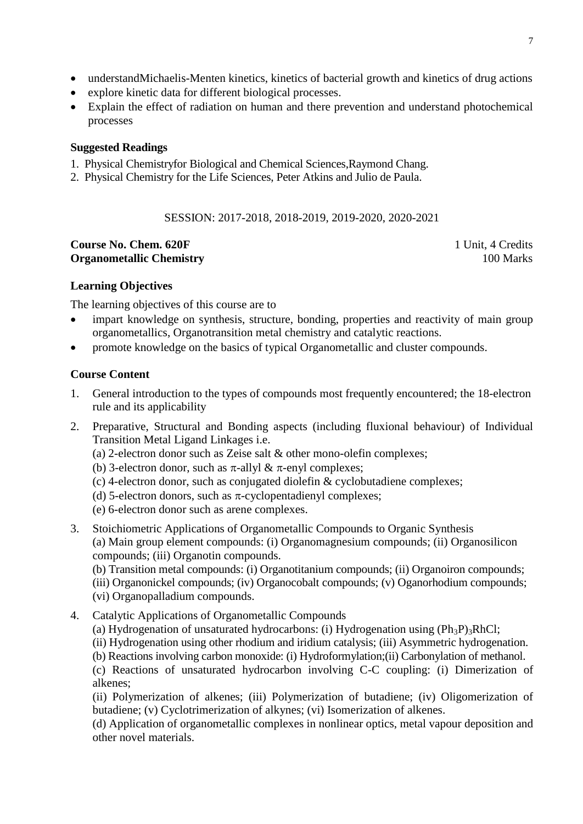- understandMichaelis-Menten kinetics, kinetics of bacterial growth and kinetics of drug actions
- explore kinetic data for different biological processes.
- Explain the effect of radiation on human and there prevention and understand photochemical processes

- 1. Physical Chemistryfor Biological and Chemical Sciences,Raymond Chang.
- 2. Physical Chemistry for the Life Sciences, Peter Atkins and Julio de Paula.

#### SESSION: 2017-2018, 2018-2019, 2019-2020, 2020-2021

#### **Course No. Chem. 620F** 1 Unit, 4 Credits **Organometallic Chemistry** 100 Marks

#### **Learning Objectives**

The learning objectives of this course are to

- impart knowledge on synthesis, structure, bonding, properties and reactivity of main group organometallics, Organotransition metal chemistry and catalytic reactions.
- promote knowledge on the basics of typical Organometallic and cluster compounds.

#### **Course Content**

- 1. General introduction to the types of compounds most frequently encountered; the 18-electron rule and its applicability
- 2. Preparative, Structural and Bonding aspects (including fluxional behaviour) of Individual Transition Metal Ligand Linkages i.e.
	- (a) 2-electron donor such as Zeise salt & other mono-olefin complexes;
	- (b) 3-electron donor, such as  $\pi$ -allyl &  $\pi$ -enyl complexes;
	- (c) 4-electron donor, such as conjugated diolefin & cyclobutadiene complexes;
	- (d) 5-electron donors, such as  $\pi$ -cyclopentadienyl complexes;
	- (e) 6-electron donor such as arene complexes.
- 3. Stoichiometric Applications of Organometallic Compounds to Organic Synthesis (a) Main group element compounds: (i) Organomagnesium compounds; (ii) Organosilicon compounds; (iii) Organotin compounds.

(b) Transition metal compounds: (i) Organotitanium compounds; (ii) Organoiron compounds;

(iii) Organonickel compounds; (iv) Organocobalt compounds; (v) Oganorhodium compounds; (vi) Organopalladium compounds.

- 4. Catalytic Applications of Organometallic Compounds
	- (a) Hydrogenation of unsaturated hydrocarbons: (i) Hydrogenation using  $(\text{Ph}_3\text{P})_3\text{RhCl}$ ;
	- (ii) Hydrogenation using other rhodium and iridium catalysis; (iii) Asymmetric hydrogenation.
	- (b) Reactions involving carbon monoxide: (i) Hydroformylation;(ii) Carbonylation of methanol.

(c) Reactions of unsaturated hydrocarbon involving C-C coupling: (i) Dimerization of alkenes;

(ii) Polymerization of alkenes; (iii) Polymerization of butadiene; (iv) Oligomerization of butadiene; (v) Cyclotrimerization of alkynes; (vi) Isomerization of alkenes.

(d) Application of organometallic complexes in nonlinear optics, metal vapour deposition and other novel materials.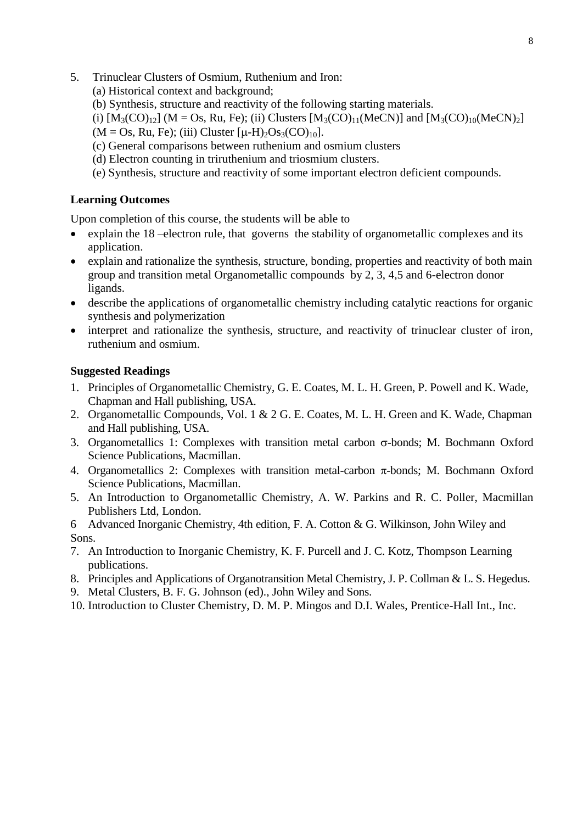- 5. Trinuclear Clusters of Osmium, Ruthenium and Iron:
	- (a) Historical context and background;
	- (b) Synthesis, structure and reactivity of the following starting materials.
	- (i)  $[M_3(CO)_{12}]$  (M = Os, Ru, Fe); (ii) Clusters  $[M_3(CO)_{11}(MeCN)]$  and  $[M_3(CO)_{10}(MeCN)_2]$
	- $(M = Os, Ru, Fe)$ ; (iii) Cluster  $[\mu-H)_2Os_3(CO)_{10}].$
	- (c) General comparisons between ruthenium and osmium clusters
	- (d) Electron counting in triruthenium and triosmium clusters.
	- (e) Synthesis, structure and reactivity of some important electron deficient compounds.

### **Learning Outcomes**

Upon completion of this course, the students will be able to

- explain the 18 –electron rule, that governs the stability of organometallic complexes and its application.
- explain and rationalize the synthesis, structure, bonding, properties and reactivity of both main group and transition metal Organometallic compounds by 2, 3, 4,5 and 6-electron donor ligands.
- describe the applications of organometallic chemistry including catalytic reactions for organic synthesis and polymerization
- interpret and rationalize the synthesis, structure, and reactivity of trinuclear cluster of iron, ruthenium and osmium.

- 1. Principles of Organometallic Chemistry, G. E. Coates, M. L. H. Green, P. Powell and K. Wade, Chapman and Hall publishing, USA.
- 2. Organometallic Compounds, Vol. 1 & 2 G. E. Coates, M. L. H. Green and K. Wade, Chapman and Hall publishing, USA.
- 3. Organometallics 1: Complexes with transition metal carbon  $\sigma$ -bonds; M. Bochmann Oxford Science Publications, Macmillan.
- 4. Organometallics 2: Complexes with transition metal-carbon  $\pi$ -bonds; M. Bochmann Oxford Science Publications, Macmillan.
- 5. An Introduction to Organometallic Chemistry, A. W. Parkins and R. C. Poller, Macmillan Publishers Ltd, London.
- 6 Advanced Inorganic Chemistry, 4th edition, F. A. Cotton & G. Wilkinson, John Wiley and Sons.
- 7. An Introduction to Inorganic Chemistry, K. F. Purcell and J. C. Kotz, Thompson Learning publications.
- 8. Principles and Applications of Organotransition Metal Chemistry, J. P. Collman & L. S. Hegedus.
- 9. Metal Clusters, B. F. G. Johnson (ed)., John Wiley and Sons.
- 10. Introduction to Cluster Chemistry, D. M. P. Mingos and D.I. Wales, Prentice-Hall Int., Inc.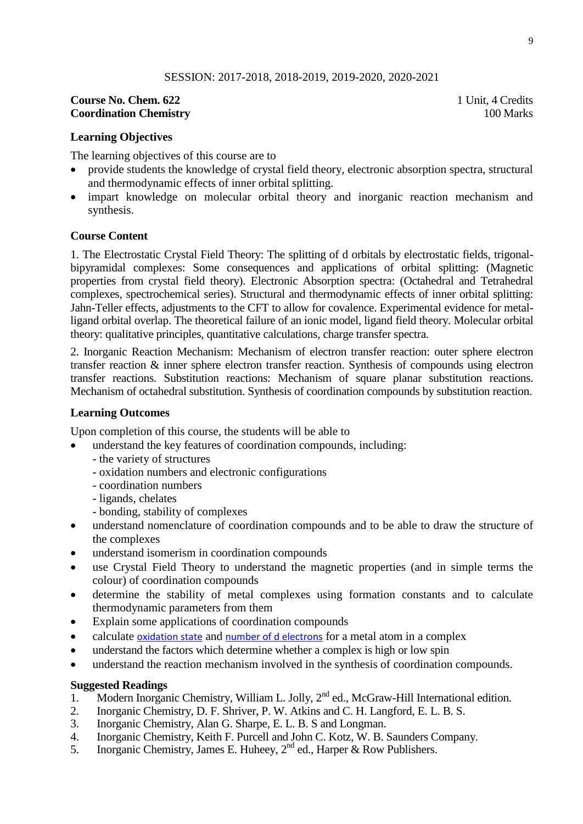#### **Course No. Chem. 622** 1 Unit, 4 Credits **Coordination Chemistry** 100 Marks

### **Learning Objectives**

The learning objectives of this course are to

- provide students the knowledge of crystal field theory, electronic absorption spectra, structural and thermodynamic effects of inner orbital splitting.
- impart knowledge on molecular orbital theory and inorganic reaction mechanism and synthesis.

#### **Course Content**

1. The Electrostatic Crystal Field Theory: The splitting of d orbitals by electrostatic fields, trigonalbipyramidal complexes: Some consequences and applications of orbital splitting: (Magnetic properties from crystal field theory). Electronic Absorption spectra: (Octahedral and Tetrahedral complexes, spectrochemical series). Structural and thermodynamic effects of inner orbital splitting: Jahn-Teller effects, adjustments to the CFT to allow for covalence. Experimental evidence for metalligand orbital overlap. The theoretical failure of an ionic model, ligand field theory. Molecular orbital theory: qualitative principles, quantitative calculations, charge transfer spectra.

2. Inorganic Reaction Mechanism: Mechanism of electron transfer reaction: outer sphere electron transfer reaction & inner sphere electron transfer reaction. Synthesis of compounds using electron transfer reactions. Substitution reactions: Mechanism of square planar substitution reactions. Mechanism of octahedral substitution. Synthesis of coordination compounds by substitution reaction.

#### **Learning Outcomes**

Upon completion of this course, the students will be able to

- understand the key features of coordination compounds, including:
	- the variety of structures
	- oxidation numbers and electronic configurations
	- coordination numbers
	- ligands, chelates
	- bonding, stability of complexes
- understand nomenclature of coordination compounds and to be able to draw the structure of the complexes
- understand isomerism in coordination compounds
- use Crystal Field Theory to understand the magnetic properties (and in simple terms the colour) of coordination compounds
- determine the stability of metal complexes using formation constants and to calculate thermodynamic parameters from them
- Explain some applications of coordination compounds
- calculate [oxidation state](http://sst-web.tees.ac.uk/external/u0000892/Web%20thing/CoordChem/OxSt.htm) and [number of d electrons](http://sst-web.tees.ac.uk/external/u0000892/Web%20thing/CoordChem/Config.htm) for a metal atom in a complex
- understand the factors which determine whether a complex is high or low spin
- understand the reaction mechanism involved in the synthesis of coordination compounds.

- 1. Modern Inorganic Chemistry, William L. Jolly, 2<sup>nd</sup> ed., McGraw-Hill International edition.
- 2. Inorganic Chemistry, D. F. Shriver, P. W. Atkins and C. H. Langford, E. L. B. S.
- 3. Inorganic Chemistry, Alan G. Sharpe, E. L. B. S and Longman.
- 4. Inorganic Chemistry, Keith F. Purcell and John C. Kotz, W. B. Saunders Company.
- 5. Inorganic Chemistry, James E. Huheey,  $2<sup>nd</sup>$  ed., Harper & Row Publishers.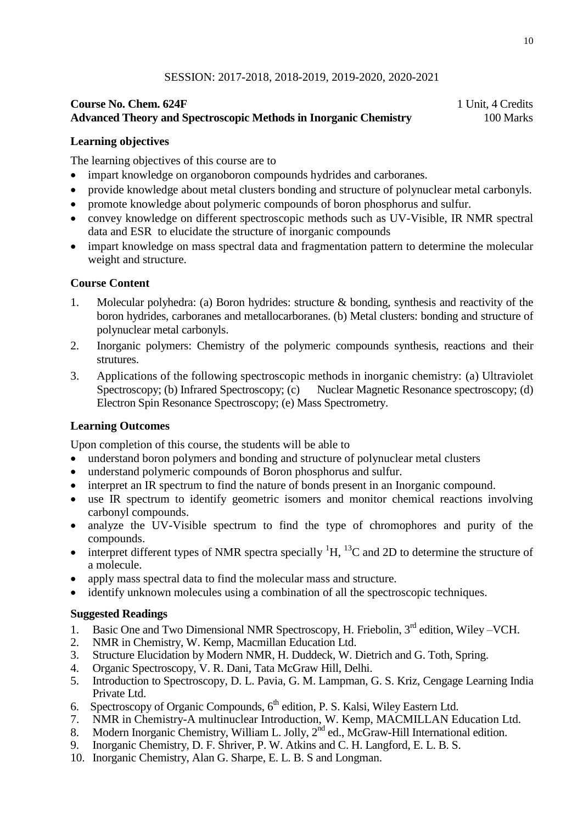## **Course No. Chem. 624F** 1 Unit, 4 Credits **Advanced Theory and Spectroscopic Methods in Inorganic Chemistry** 100 Marks

## **Learning objectives**

The learning objectives of this course are to

- impart knowledge on organoboron compounds hydrides and carboranes.
- provide knowledge about metal clusters bonding and structure of polynuclear metal carbonyls.
- promote knowledge about polymeric compounds of boron phosphorus and sulfur.
- convey knowledge on different spectroscopic methods such as UV-Visible, IR NMR spectral data and ESR to elucidate the structure of inorganic compounds
- impart knowledge on mass spectral data and fragmentation pattern to determine the molecular weight and structure.

## **Course Content**

- 1. Molecular polyhedra: (a) Boron hydrides: structure & bonding, synthesis and reactivity of the boron hydrides, carboranes and metallocarboranes. (b) Metal clusters: bonding and structure of polynuclear metal carbonyls.
- 2. Inorganic polymers: Chemistry of the polymeric compounds synthesis, reactions and their strutures.
- 3. Applications of the following spectroscopic methods in inorganic chemistry: (a) Ultraviolet Spectroscopy; (b) Infrared Spectroscopy; (c) Nuclear Magnetic Resonance spectroscopy; (d) Electron Spin Resonance Spectroscopy; (e) Mass Spectrometry.

# **Learning Outcomes**

Upon completion of this course, the students will be able to

- understand boron polymers and bonding and structure of polynuclear metal clusters
- understand polymeric compounds of Boron phosphorus and sulfur.
- interpret an IR spectrum to find the nature of bonds present in an Inorganic compound.
- use IR spectrum to identify geometric isomers and monitor chemical reactions involving carbonyl compounds.
- analyze the UV-Visible spectrum to find the type of chromophores and purity of the compounds.
- interpret different types of NMR spectra specially  ${}^{1}H$ ,  ${}^{13}C$  and 2D to determine the structure of a molecule.
- apply mass spectral data to find the molecular mass and structure.
- identify unknown molecules using a combination of all the spectroscopic techniques.

- 1. Basic One and Two Dimensional NMR Spectroscopy, H. Friebolin, 3<sup>rd</sup> edition, Wiley –VCH.
- 2. NMR in Chemistry, W. Kemp, Macmillan Education Ltd.
- 3. Structure Elucidation by Modern NMR, H. Duddeck, W. Dietrich and G. Toth, Spring.
- 4. Organic Spectroscopy, V. R. Dani, Tata McGraw Hill, Delhi.
- 5. Introduction to Spectroscopy, D. L. Pavia, G. M. Lampman, G. S. Kriz, Cengage Learning India Private Ltd.
- 6. Spectroscopy of Organic Compounds, 6<sup>th</sup> edition, P. S. Kalsi, Wiley Eastern Ltd.
- 7. NMR in Chemistry-A multinuclear Introduction, W. Kemp, MACMILLAN Education Ltd.
- 8. Modern Inorganic Chemistry, William L. Jolly, 2<sup>nd</sup> ed., McGraw-Hill International edition.
- 9. Inorganic Chemistry, D. F. Shriver, P. W. Atkins and C. H. Langford, E. L. B. S.
- 10. Inorganic Chemistry, Alan G. Sharpe, E. L. B. S and Longman.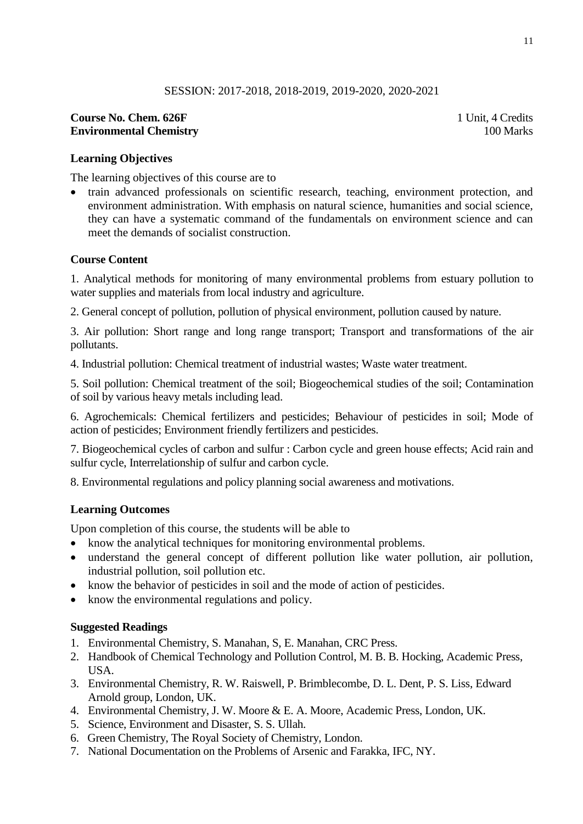# **Course No. Chem. 626F** 1 Unit, 4 Credits **Environmental Chemistry** 100 Marks

# **Learning Objectives**

The learning objectives of this course are to

• train advanced professionals on scientific research, teaching, environment protection, and environment administration. With emphasis on natural science, humanities and social science, they can have a systematic command of the fundamentals on environment science and can meet the demands of socialist construction.

# **Course Content**

1. Analytical methods for monitoring of many environmental problems from estuary pollution to water supplies and materials from local industry and agriculture.

2. General concept of pollution, pollution of physical environment, pollution caused by nature.

3. Air pollution: Short range and long range transport; Transport and transformations of the air pollutants.

4. Industrial pollution: Chemical treatment of industrial wastes; Waste water treatment.

5. Soil pollution: Chemical treatment of the soil; Biogeochemical studies of the soil; Contamination of soil by various heavy metals including lead.

6. Agrochemicals: Chemical fertilizers and pesticides; Behaviour of pesticides in soil; Mode of action of pesticides; Environment friendly fertilizers and pesticides.

7. Biogeochemical cycles of carbon and sulfur : Carbon cycle and green house effects; Acid rain and sulfur cycle, Interrelationship of sulfur and carbon cycle.

8. Environmental regulations and policy planning social awareness and motivations.

# **Learning Outcomes**

Upon completion of this course, the students will be able to

- know the analytical techniques for monitoring environmental problems.
- understand the general concept of different pollution like water pollution, air pollution, industrial pollution, soil pollution etc.
- know the behavior of pesticides in soil and the mode of action of pesticides.
- know the environmental regulations and policy.

- 1. Environmental Chemistry, S. Manahan, S, E. Manahan, CRC Press.
- 2. Handbook of Chemical Technology and Pollution Control, M. B. B. Hocking, Academic Press, USA.
- 3. Environmental Chemistry, R. W. Raiswell, P. Brimblecombe, D. L. Dent, P. S. Liss, Edward Arnold group, London, UK.
- 4. Environmental Chemistry, J. W. Moore & E. A. Moore, Academic Press, London, UK.
- 5. Science, Environment and Disaster, S. S. Ullah.
- 6. Green Chemistry, The Royal Society of Chemistry, London.
- 7. National Documentation on the Problems of Arsenic and Farakka, IFC, NY.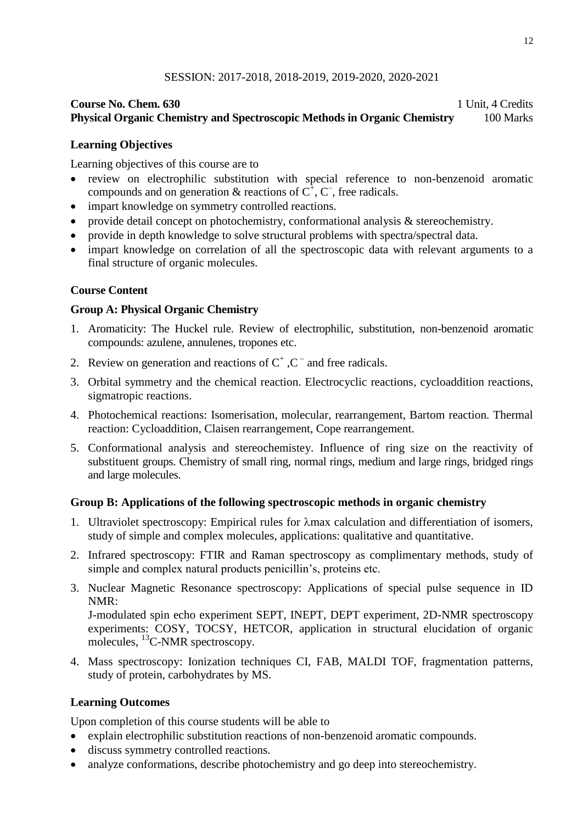# **Course No. Chem. 630** 1 Unit, 4 Credits **Physical Organic Chemistry and Spectroscopic Methods in Organic Chemistry** 100 Marks

# **Learning Objectives**

Learning objectives of this course are to

- review on electrophilic substitution with special reference to non-benzenoid aromatic compounds and on generation & reactions of  $C^{\dagger}$ ,  $C^{\dagger}$ , free radicals.
- impart knowledge on symmetry controlled reactions.
- provide detail concept on photochemistry, conformational analysis & stereochemistry.
- provide in depth knowledge to solve structural problems with spectra/spectral data.
- impart knowledge on correlation of all the spectroscopic data with relevant arguments to a final structure of organic molecules.

# **Course Content**

# **Group A: Physical Organic Chemistry**

- 1. Aromaticity: The Huckel rule. Review of electrophilic, substitution, non-benzenoid aromatic compounds: azulene, annulenes, tropones etc.
- 2. Review on generation and reactions of  $C^+$ ,  $C^-$  and free radicals.
- 3. Orbital symmetry and the chemical reaction. Electrocyclic reactions, cycloaddition reactions, sigmatropic reactions.
- 4. Photochemical reactions: Isomerisation, molecular, rearrangement, Bartom reaction. Thermal reaction: Cycloaddition, Claisen rearrangement, Cope rearrangement.
- 5. Conformational analysis and stereochemistey. Influence of ring size on the reactivity of substituent groups. Chemistry of small ring, normal rings, medium and large rings, bridged rings and large molecules.

# **Group B: Applications of the following spectroscopic methods in organic chemistry**

- 1. Ultraviolet spectroscopy: Empirical rules for  $\lambda$ max calculation and differentiation of isomers, study of simple and complex molecules, applications: qualitative and quantitative.
- 2. Infrared spectroscopy: FTIR and Raman spectroscopy as complimentary methods, study of simple and complex natural products penicillin's, proteins etc.
- 3. Nuclear Magnetic Resonance spectroscopy: Applications of special pulse sequence in ID NMR:

J-modulated spin echo experiment SEPT, INEPT, DEPT experiment, 2D-NMR spectroscopy experiments: COSY, TOCSY, HETCOR, application in structural elucidation of organic molecules, <sup>13</sup>C-NMR spectroscopy.

4. Mass spectroscopy: Ionization techniques CI, FAB, MALDI TOF, fragmentation patterns, study of protein, carbohydrates by MS.

# **Learning Outcomes**

Upon completion of this course students will be able to

- explain electrophilic substitution reactions of non-benzenoid aromatic compounds.
- discuss symmetry controlled reactions.
- analyze conformations, describe photochemistry and go deep into stereochemistry.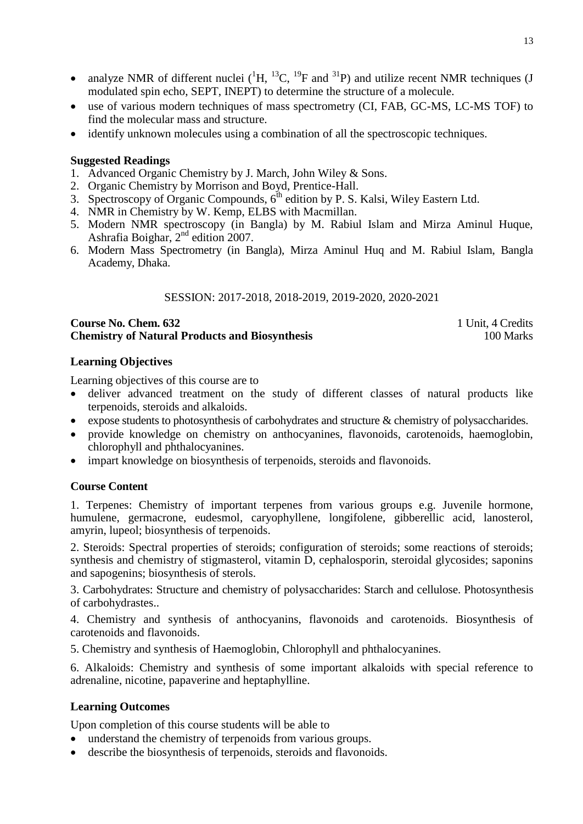- analyze NMR of different nuclei  $({}^{1}H, {}^{13}C, {}^{19}F$  and  ${}^{31}P)$  and utilize recent NMR techniques (J modulated spin echo, SEPT, INEPT) to determine the structure of a molecule.
- use of various modern techniques of mass spectrometry (CI, FAB, GC-MS, LC-MS TOF) to find the molecular mass and structure.
- identify unknown molecules using a combination of all the spectroscopic techniques.

- 1. Advanced Organic Chemistry by J. March, John Wiley & Sons.
- 2. Organic Chemistry by Morrison and Boyd, Prentice-Hall.
- 3. Spectroscopy of Organic Compounds,  $6<sup>th</sup>$  edition by P. S. Kalsi, Wiley Eastern Ltd.
- 4. NMR in Chemistry by W. Kemp, ELBS with Macmillan.
- 5. Modern NMR spectroscopy (in Bangla) by M. Rabiul Islam and Mirza Aminul Huque, Ashrafia Boighar, 2nd edition 2007.
- 6. Modern Mass Spectrometry (in Bangla), Mirza Aminul Huq and M. Rabiul Islam, Bangla Academy, Dhaka.

## SESSION: 2017-2018, 2018-2019, 2019-2020, 2020-2021

## **Course No. Chem. 632** 1 Unit, 4 Credits **Chemistry of Natural Products and Biosynthesis** 100 Marks 100 Marks

## **Learning Objectives**

Learning objectives of this course are to

- deliver advanced treatment on the study of different classes of natural products like terpenoids, steroids and alkaloids.
- expose students to photosynthesis of carbohydrates and structure  $\&$  chemistry of polysaccharides.
- provide knowledge on chemistry on anthocyanines, flavonoids, carotenoids, haemoglobin, chlorophyll and phthalocyanines.
- impart knowledge on biosynthesis of terpenoids, steroids and flavonoids.

# **Course Content**

1. Terpenes: Chemistry of important terpenes from various groups e.g. Juvenile hormone, humulene, germacrone, eudesmol, caryophyllene, longifolene, gibberellic acid, lanosterol, amyrin, lupeol; biosynthesis of terpenoids.

2. Steroids: Spectral properties of steroids; configuration of steroids; some reactions of steroids; synthesis and chemistry of stigmasterol, vitamin D, cephalosporin, steroidal glycosides; saponins and sapogenins; biosynthesis of sterols.

3. Carbohydrates: Structure and chemistry of polysaccharides: Starch and cellulose. Photosynthesis of carbohydrastes..

4. Chemistry and synthesis of anthocyanins, flavonoids and carotenoids. Biosynthesis of carotenoids and flavonoids.

5. Chemistry and synthesis of Haemoglobin, Chlorophyll and phthalocyanines.

6. Alkaloids: Chemistry and synthesis of some important alkaloids with special reference to adrenaline, nicotine, papaverine and heptaphylline.

# **Learning Outcomes**

Upon completion of this course students will be able to

- understand the chemistry of terpenoids from various groups.
- describe the biosynthesis of terpenoids, steroids and flavonoids.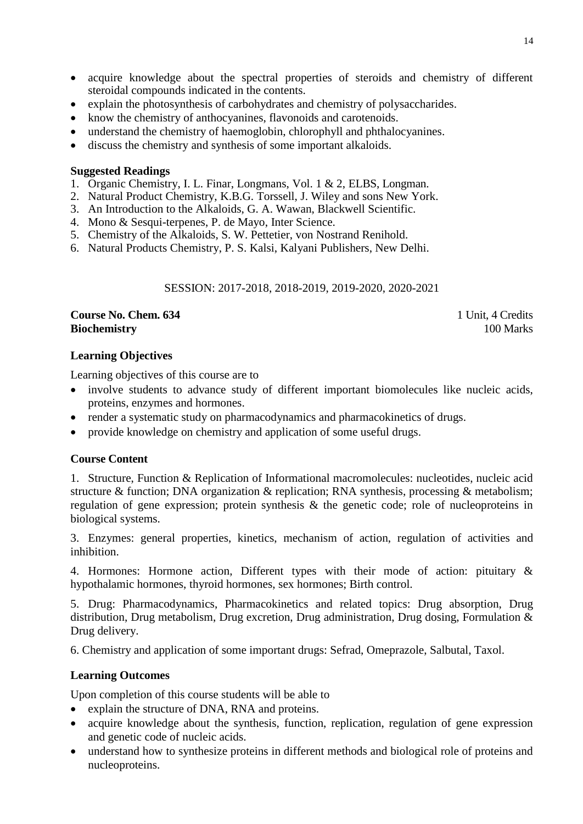- acquire knowledge about the spectral properties of steroids and chemistry of different steroidal compounds indicated in the contents.
- explain the photosynthesis of carbohydrates and chemistry of polysaccharides.
- know the chemistry of anthocyanines, flavonoids and carotenoids.
- understand the chemistry of haemoglobin, chlorophyll and phthalocyanines.
- discuss the chemistry and synthesis of some important alkaloids.

- 1. Organic Chemistry, I. L. Finar, Longmans, Vol. 1 & 2, ELBS, Longman.
- 2. Natural Product Chemistry, K.B.G. Torssell, J. Wiley and sons New York.
- 3. An Introduction to the Alkaloids, G. A. Wawan, Blackwell Scientific.
- 4. Mono & Sesqui-terpenes, P. de Mayo, Inter Science.
- 5. Chemistry of the Alkaloids, S. W. Pettetier, von Nostrand Renihold.
- 6. Natural Products Chemistry, P. S. Kalsi, Kalyani Publishers, New Delhi.

SESSION: 2017-2018, 2018-2019, 2019-2020, 2020-2021

### **Course No. Chem. 634** 1 Unit, 4 Credits **Biochemistry** 100 Marks **100 Marks**

## **Learning Objectives**

Learning objectives of this course are to

- involve students to advance study of different important biomolecules like nucleic acids, proteins, enzymes and hormones.
- render a systematic study on pharmacodynamics and pharmacokinetics of drugs.
- provide knowledge on chemistry and application of some useful drugs.

### **Course Content**

1. Structure, Function & Replication of Informational macromolecules: nucleotides, nucleic acid structure & function; DNA organization & replication; RNA synthesis, processing & metabolism; regulation of gene expression; protein synthesis & the genetic code; role of nucleoproteins in biological systems.

3. Enzymes: general properties, kinetics, mechanism of action, regulation of activities and inhibition.

4. Hormones: Hormone action, Different types with their mode of action: pituitary & hypothalamic hormones, thyroid hormones, sex hormones; Birth control.

5. Drug: Pharmacodynamics, Pharmacokinetics and related topics: Drug absorption, Drug distribution, Drug metabolism, Drug excretion, Drug administration, Drug dosing, Formulation & Drug delivery.

6. Chemistry and application of some important drugs: Sefrad, Omeprazole, Salbutal, Taxol.

# **Learning Outcomes**

Upon completion of this course students will be able to

- explain the structure of DNA, RNA and proteins.
- acquire knowledge about the synthesis, function, replication, regulation of gene expression and genetic code of nucleic acids.
- understand how to synthesize proteins in different methods and biological role of proteins and nucleoproteins.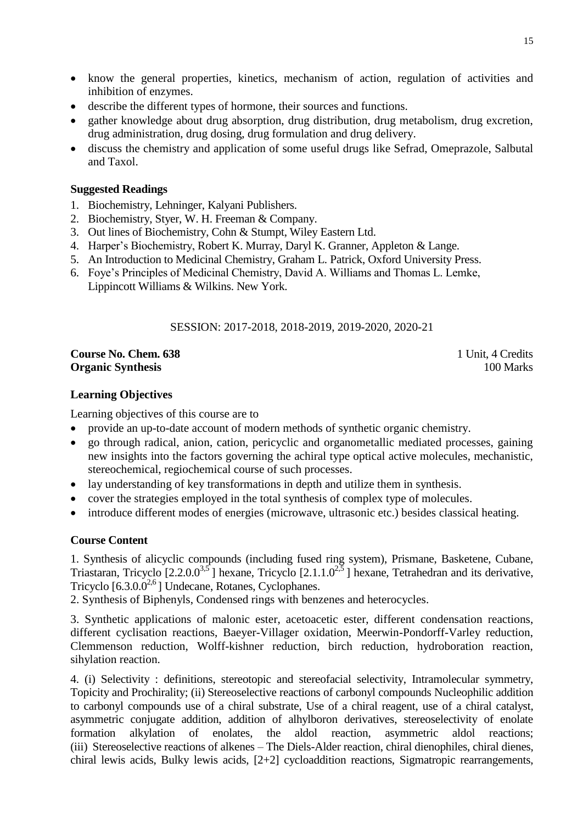- know the general properties, kinetics, mechanism of action, regulation of activities and inhibition of enzymes.
- describe the different types of hormone, their sources and functions.
- gather knowledge about drug absorption, drug distribution, drug metabolism, drug excretion, drug administration, drug dosing, drug formulation and drug delivery.
- discuss the chemistry and application of some useful drugs like Sefrad, Omeprazole, Salbutal and Taxol.

- 1. Biochemistry, Lehninger, Kalyani Publishers.
- 2. Biochemistry, Styer, W. H. Freeman & Company.
- 3. Out lines of Biochemistry, Cohn & Stumpt, Wiley Eastern Ltd.
- 4. Harper's Biochemistry, Robert K. Murray, Daryl K. Granner, Appleton & Lange.
- 5. An Introduction to Medicinal Chemistry, Graham L. Patrick, Oxford University Press.
- 6. Foye's Principles of Medicinal Chemistry, David A. Williams and Thomas L. Lemke, Lippincott Williams & Wilkins. New York.

# SESSION: 2017-2018, 2018-2019, 2019-2020, 2020-21

### **Course No. Chem. 638** 1 Unit, 4 Credits **Organic Synthesis** 100 Marks

## **Learning Objectives**

Learning objectives of this course are to

- provide an up-to-date account of modern methods of synthetic organic chemistry.
- go through radical, anion, cation, pericyclic and organometallic mediated processes, gaining new insights into the factors governing the achiral type optical active molecules, mechanistic, stereochemical, regiochemical course of such processes.
- lay understanding of key transformations in depth and utilize them in synthesis.
- cover the strategies employed in the total synthesis of complex type of molecules.
- introduce different modes of energies (microwave, ultrasonic etc.) besides classical heating.

# **Course Content**

1. Synthesis of alicyclic compounds (including fused ring system), Prismane, Basketene, Cubane, Triastaran, Tricyclo  $[2.2.0.0^{3.5}]$  hexane, Tricyclo  $[2.1.1.0^{2.5}]$  hexane, Tetrahedran and its derivative, Tricyclo  $[6.3.0.0^{2.6}]$  Undecane, Rotanes, Cyclophanes.

2. Synthesis of Biphenyls, Condensed rings with benzenes and heterocycles.

3. Synthetic applications of malonic ester, acetoacetic ester, different condensation reactions, different cyclisation reactions, Baeyer-Villager oxidation, Meerwin-Pondorff-Varley reduction, Clemmenson reduction, Wolff-kishner reduction, birch reduction, hydroboration reaction, sihylation reaction.

4. (i) Selectivity : definitions, stereotopic and stereofacial selectivity, Intramolecular symmetry, Topicity and Prochirality; (ii) Stereoselective reactions of carbonyl compounds Nucleophilic addition to carbonyl compounds use of a chiral substrate, Use of a chiral reagent, use of a chiral catalyst, asymmetric conjugate addition, addition of alhylboron derivatives, stereoselectivity of enolate formation alkylation of enolates, the aldol reaction, asymmetric aldol reactions; (iii) Stereoselective reactions of alkenes – The Diels-Alder reaction, chiral dienophiles, chiral dienes, chiral lewis acids, Bulky lewis acids, [2+2] cycloaddition reactions, Sigmatropic rearrangements,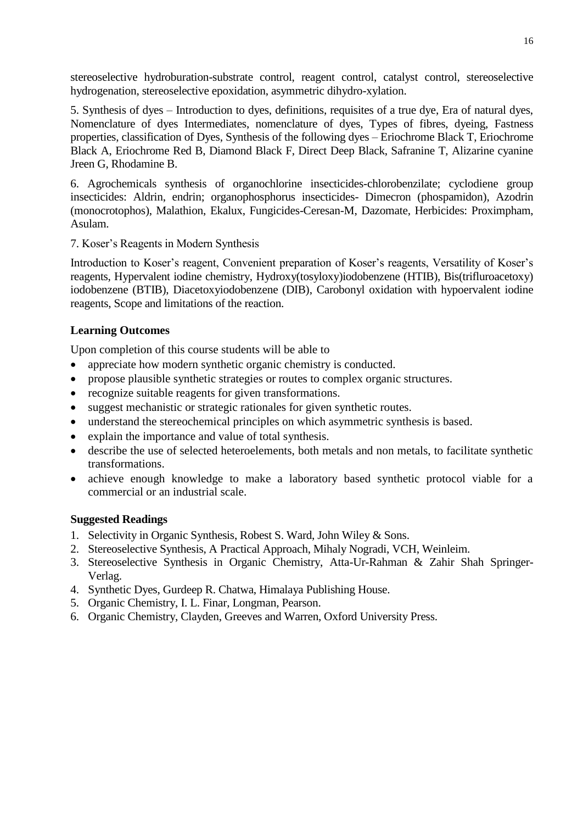stereoselective hydroburation-substrate control, reagent control, catalyst control, stereoselective hydrogenation, stereoselective epoxidation, asymmetric dihydro-xylation.

5. Synthesis of dyes – Introduction to dyes, definitions, requisites of a true dye, Era of natural dyes, Nomenclature of dyes Intermediates, nomenclature of dyes, Types of fibres, dyeing, Fastness properties, classification of Dyes, Synthesis of the following dyes – Eriochrome Black T, Eriochrome Black A, Eriochrome Red B, Diamond Black F, Direct Deep Black, Safranine T, Alizarine cyanine Jreen G, Rhodamine B.

6. Agrochemicals synthesis of organochlorine insecticides-chlorobenzilate; cyclodiene group insecticides: Aldrin, endrin; organophosphorus insecticides- Dimecron (phospamidon), Azodrin (monocrotophos), Malathion, Ekalux, Fungicides-Ceresan-M, Dazomate, Herbicides: Proximpham, Asulam.

7. Koser's Reagents in Modern Synthesis

Introduction to Koser's reagent, Convenient preparation of Koser's reagents, Versatility of Koser's reagents, Hypervalent iodine chemistry, Hydroxy(tosyloxy)iodobenzene (HTIB), Bis(trifluroacetoxy) iodobenzene (BTIB), Diacetoxyiodobenzene (DIB), Carobonyl oxidation with hypoervalent iodine reagents, Scope and limitations of the reaction.

# **Learning Outcomes**

Upon completion of this course students will be able to

- appreciate how modern synthetic organic chemistry is conducted.
- propose plausible synthetic strategies or routes to complex organic structures.
- recognize suitable reagents for given transformations.
- suggest mechanistic or strategic rationales for given synthetic routes.
- understand the stereochemical principles on which asymmetric synthesis is based.
- explain the importance and value of total synthesis.
- describe the use of selected heteroelements, both metals and non metals, to facilitate synthetic transformations.
- achieve enough knowledge to make a laboratory based synthetic protocol viable for a commercial or an industrial scale.

- 1. Selectivity in Organic Synthesis, Robest S. Ward, John Wiley & Sons.
- 2. Stereoselective Synthesis, A Practical Approach, Mihaly Nogradi, VCH, Weinleim.
- 3. Stereoselective Synthesis in Organic Chemistry, Atta-Ur-Rahman & Zahir Shah Springer-Verlag.
- 4. Synthetic Dyes, Gurdeep R. Chatwa, Himalaya Publishing House.
- 5. Organic Chemistry, I. L. Finar, Longman, Pearson.
- 6. Organic Chemistry, Clayden, Greeves and Warren, Oxford University Press.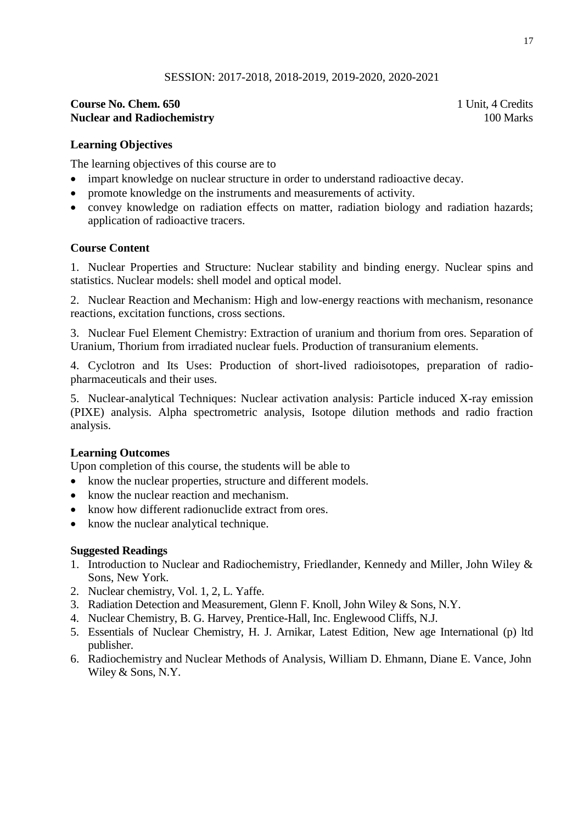## **Course No. Chem. 650** 1 Unit, 4 Credits **Nuclear and Radiochemistry 100 Marks 100 Marks**

## **Learning Objectives**

The learning objectives of this course are to

- impart knowledge on nuclear structure in order to understand radioactive decay.
- promote knowledge on the instruments and measurements of activity.
- convey knowledge on radiation effects on matter, radiation biology and radiation hazards; application of radioactive tracers.

### **Course Content**

1. Nuclear Properties and Structure: Nuclear stability and binding energy. Nuclear spins and statistics. Nuclear models: shell model and optical model.

2. Nuclear Reaction and Mechanism: High and low-energy reactions with mechanism, resonance reactions, excitation functions, cross sections.

3. Nuclear Fuel Element Chemistry: Extraction of uranium and thorium from ores. Separation of Uranium, Thorium from irradiated nuclear fuels. Production of transuranium elements.

4. Cyclotron and Its Uses: Production of short-lived radioisotopes, preparation of radiopharmaceuticals and their uses.

5. Nuclear-analytical Techniques: Nuclear activation analysis: Particle induced X-ray emission (PIXE) analysis. Alpha spectrometric analysis, Isotope dilution methods and radio fraction analysis.

### **Learning Outcomes**

Upon completion of this course, the students will be able to

- know the nuclear properties, structure and different models.
- know the nuclear reaction and mechanism.
- know how different radionuclide extract from ores.
- know the nuclear analytical technique.

- 1. Introduction to Nuclear and Radiochemistry, Friedlander, Kennedy and Miller, John Wiley & Sons, New York.
- 2. Nuclear chemistry, Vol. 1, 2, L. Yaffe.
- 3. Radiation Detection and Measurement, Glenn F. Knoll, John Wiley & Sons, N.Y.
- 4. Nuclear Chemistry, B. G. Harvey, Prentice-Hall, Inc. Englewood Cliffs, N.J.
- 5. Essentials of Nuclear Chemistry, H. J. Arnikar, Latest Edition, New age International (p) ltd publisher.
- 6. Radiochemistry and Nuclear Methods of Analysis, William D. Ehmann, Diane E. Vance, John Wiley & Sons, N.Y.